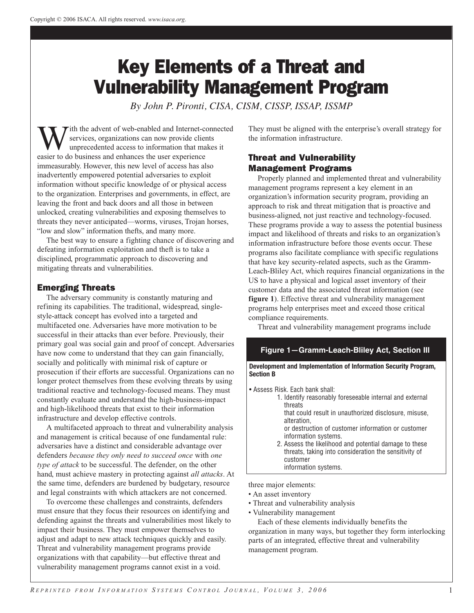# Key Elements of a Threat and Vulnerability Management Program

*By John P. Pironti, CISA, CISM, CISSP, ISSAP, ISSMP*

ith the advent of web-enabled and Internet-connected services, organizations can now provide clients unprecedented access to information that makes it easier to do business and enhances the user experience immeasurably. However, this new level of access has also inadvertently empowered potential adversaries to exploit information without specific knowledge of or physical access to the organization. Enterprises and governments, in effect, are leaving the front and back doors and all those in between unlocked, creating vulnerabilities and exposing themselves to threats they never anticipated—worms, viruses, Trojan horses, "low and slow" information thefts, and many more.

The best way to ensure a fighting chance of discovering and defeating information exploitation and theft is to take a disciplined, programmatic approach to discovering and mitigating threats and vulnerabilities.

## Emerging Threats

The adversary community is constantly maturing and refining its capabilities. The traditional, widespread, singlestyle-attack concept has evolved into a targeted and multifaceted one. Adversaries have more motivation to be successful in their attacks than ever before. Previously, their primary goal was social gain and proof of concept. Adversaries have now come to understand that they can gain financially, socially and politically with minimal risk of capture or prosecution if their efforts are successful. Organizations can no longer protect themselves from these evolving threats by using traditional reactive and technology-focused means. They must constantly evaluate and understand the high-business-impact and high-likelihood threats that exist to their information infrastructure and develop effective controls.

A multifaceted approach to threat and vulnerability analysis and management is critical because of one fundamental rule: adversaries have a distinct and considerable advantage over defenders *because they only need to succeed once* with *one type of attack* to be successful. The defender, on the other hand, must achieve mastery in protecting against *all attacks*. At the same time, defenders are burdened by budgetary, resource and legal constraints with which attackers are not concerned.

To overcome these challenges and constraints, defenders must ensure that they focus their resources on identifying and defending against the threats and vulnerabilities most likely to impact their business. They must empower themselves to adjust and adapt to new attack techniques quickly and easily. Threat and vulnerability management programs provide organizations with that capability—but effective threat and vulnerability management programs cannot exist in a void.

They must be aligned with the enterprise's overall strategy for the information infrastructure.

# Threat and Vulnerability Management Programs

Properly planned and implemented threat and vulnerability management programs represent a key element in an organization's information security program, providing an approach to risk and threat mitigation that is proactive and business-aligned, not just reactive and technology-focused. These programs provide a way to assess the potential business impact and likelihood of threats and risks to an organization's information infrastructure before those events occur. These programs also facilitate compliance with specific regulations that have key security-related aspects, such as the Gramm-Leach-Bliley Act, which requires financial organizations in the US to have a physical and logical asset inventory of their customer data and the associated threat information (see **figure 1**). Effective threat and vulnerability management programs help enterprises meet and exceed those critical compliance requirements.

Threat and vulnerability management programs include

## **Figure 1—Gramm-Leach-Bliley Act, Section III**

**Development and Implementation of Information Security Program, Section B**

• Assess Risk. Each bank shall:

1. Identify reasonably foreseeable internal and external threats

that could result in unauthorized disclosure, misuse, alteration, or destruction of customer information or customer

information systems.

2. Assess the likelihood and potential damage to these threats, taking into consideration the sensitivity of customer information systems.

three major elements:

- An asset inventory
- Threat and vulnerability analysis
- Vulnerability management

Each of these elements individually benefits the

organization in many ways, but together they form interlocking parts of an integrated, effective threat and vulnerability management program.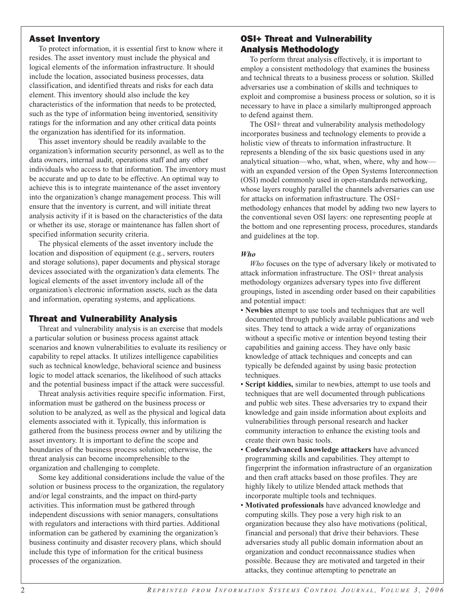## Asset Inventory

To protect information, it is essential first to know where it resides. The asset inventory must include the physical and logical elements of the information infrastructure. It should include the location, associated business processes, data classification, and identified threats and risks for each data element. This inventory should also include the key characteristics of the information that needs to be protected, such as the type of information being inventoried, sensitivity ratings for the information and any other critical data points the organization has identified for its information.

This asset inventory should be readily available to the organization's information security personnel, as well as to the data owners, internal audit, operations staff and any other individuals who access to that information. The inventory must be accurate and up to date to be effective. An optimal way to achieve this is to integrate maintenance of the asset inventory into the organization's change management process. This will ensure that the inventory is current, and will initiate threat analysis activity if it is based on the characteristics of the data or whether its use, storage or maintenance has fallen short of specified information security criteria.

The physical elements of the asset inventory include the location and disposition of equipment (e.g., servers, routers and storage solutions), paper documents and physical storage devices associated with the organization's data elements. The logical elements of the asset inventory include all of the organization's electronic information assets, such as the data and information, operating systems, and applications.

### Threat and Vulnerability Analysis

Threat and vulnerability analysis is an exercise that models a particular solution or business process against attack scenarios and known vulnerabilities to evaluate its resiliency or capability to repel attacks. It utilizes intelligence capabilities such as technical knowledge, behavioral science and business logic to model attack scenarios, the likelihood of such attacks and the potential business impact if the attack were successful.

Threat analysis activities require specific information. First, information must be gathered on the business process or solution to be analyzed, as well as the physical and logical data elements associated with it. Typically, this information is gathered from the business process owner and by utilizing the asset inventory. It is important to define the scope and boundaries of the business process solution; otherwise, the threat analysis can become incomprehensible to the organization and challenging to complete.

Some key additional considerations include the value of the solution or business process to the organization, the regulatory and/or legal constraints, and the impact on third-party activities. This information must be gathered through independent discussions with senior managers, consultations with regulators and interactions with third parties. Additional information can be gathered by examining the organization's business continuity and disaster recovery plans, which should include this type of information for the critical business processes of the organization.

## OSI+ Threat and Vulnerability Analysis Methodology

To perform threat analysis effectively, it is important to employ a consistent methodology that examines the business and technical threats to a business process or solution. Skilled adversaries use a combination of skills and techniques to exploit and compromise a business process or solution, so it is necessary to have in place a similarly multipronged approach to defend against them.

The OSI+ threat and vulnerability analysis methodology incorporates business and technology elements to provide a holistic view of threats to information infrastructure. It represents a blending of the six basic questions used in any analytical situation—who, what, when, where, why and how with an expanded version of the Open Systems Interconnection (OSI) model commonly used in open-standards networking, whose layers roughly parallel the channels adversaries can use for attacks on information infrastructure. The OSI+ methodology enhances that model by adding two new layers to the conventional seven OSI layers: one representing people at the bottom and one representing process, procedures, standards and guidelines at the top.

#### *Who*

*Who* focuses on the type of adversary likely or motivated to attack information infrastructure. The OSI+ threat analysis methodology organizes adversary types into five different groupings, listed in ascending order based on their capabilities and potential impact:

- **Newbies** attempt to use tools and techniques that are well documented through publicly available publications and web sites. They tend to attack a wide array of organizations without a specific motive or intention beyond testing their capabilities and gaining access. They have only basic knowledge of attack techniques and concepts and can typically be defended against by using basic protection techniques.
- **Script kiddies,** similar to newbies, attempt to use tools and techniques that are well documented through publications and public web sites. These adversaries try to expand their knowledge and gain inside information about exploits and vulnerabilities through personal research and hacker community interaction to enhance the existing tools and create their own basic tools.
- **Coders/advanced knowledge attackers** have advanced programming skills and capabilities. They attempt to fingerprint the information infrastructure of an organization and then craft attacks based on those profiles. They are highly likely to utilize blended attack methods that incorporate multiple tools and techniques.
- **Motivated professionals** have advanced knowledge and computing skills. They pose a very high risk to an organization because they also have motivations (political, financial and personal) that drive their behaviors. These adversaries study all public domain information about an organization and conduct reconnaissance studies when possible. Because they are motivated and targeted in their attacks, they continue attempting to penetrate an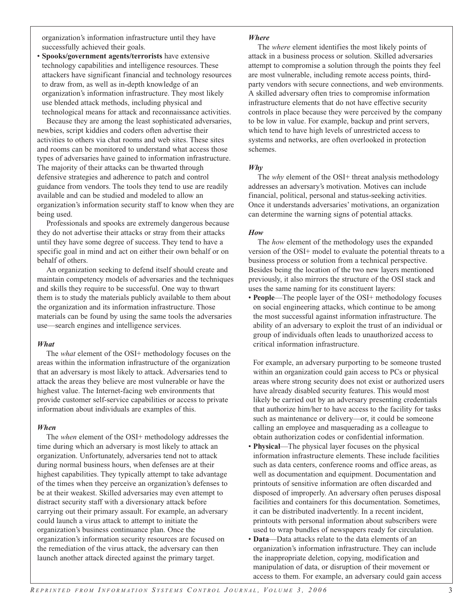organization's information infrastructure until they have successfully achieved their goals.

• **Spooks/government agents/terrorists** have extensive technology capabilities and intelligence resources. These attackers have significant financial and technology resources to draw from, as well as in-depth knowledge of an organization's information infrastructure. They most likely use blended attack methods, including physical and technological means for attack and reconnaissance activities.

Because they are among the least sophisticated adversaries, newbies, script kiddies and coders often advertise their activities to others via chat rooms and web sites. These sites and rooms can be monitored to understand what access those types of adversaries have gained to information infrastructure. The majority of their attacks can be thwarted through defensive strategies and adherence to patch and control guidance from vendors. The tools they tend to use are readily available and can be studied and modeled to allow an organization's information security staff to know when they are being used.

Professionals and spooks are extremely dangerous because they do not advertise their attacks or stray from their attacks until they have some degree of success. They tend to have a specific goal in mind and act on either their own behalf or on behalf of others.

An organization seeking to defend itself should create and maintain competency models of adversaries and the techniques and skills they require to be successful. One way to thwart them is to study the materials publicly available to them about the organization and its information infrastructure. Those materials can be found by using the same tools the adversaries use—search engines and intelligence services.

#### *What*

The *what* element of the OSI+ methodology focuses on the areas within the information infrastructure of the organization that an adversary is most likely to attack. Adversaries tend to attack the areas they believe are most vulnerable or have the highest value. The Internet-facing web environments that provide customer self-service capabilities or access to private information about individuals are examples of this.

#### *When*

The *when* element of the OSI+ methodology addresses the time during which an adversary is most likely to attack an organization. Unfortunately, adversaries tend not to attack during normal business hours, when defenses are at their highest capabilities. They typically attempt to take advantage of the times when they perceive an organization's defenses to be at their weakest. Skilled adversaries may even attempt to distract security staff with a diversionary attack before carrying out their primary assault. For example, an adversary could launch a virus attack to attempt to initiate the organization's business continuance plan. Once the organization's information security resources are focused on the remediation of the virus attack, the adversary can then launch another attack directed against the primary target.

#### *Where*

The *where* element identifies the most likely points of attack in a business process or solution. Skilled adversaries attempt to compromise a solution through the points they feel are most vulnerable, including remote access points, thirdparty vendors with secure connections, and web environments. A skilled adversary often tries to compromise information infrastructure elements that do not have effective security controls in place because they were perceived by the company to be low in value. For example, backup and print servers, which tend to have high levels of unrestricted access to systems and networks, are often overlooked in protection schemes.

#### *Why*

The *why* element of the OSI+ threat analysis methodology addresses an adversary's motivation. Motives can include financial, political, personal and status-seeking activities. Once it understands adversaries' motivations, an organization can determine the warning signs of potential attacks.

#### *How*

The *how* element of the methodology uses the expanded version of the OSI+ model to evaluate the potential threats to a business process or solution from a technical perspective. Besides being the location of the two new layers mentioned previously, it also mirrors the structure of the OSI stack and uses the same naming for its constituent layers:

• **People**—The people layer of the OSI+ methodology focuses on social engineering attacks, which continue to be among the most successful against information infrastructure. The ability of an adversary to exploit the trust of an individual or group of individuals often leads to unauthorized access to critical information infrastructure.

For example, an adversary purporting to be someone trusted within an organization could gain access to PCs or physical areas where strong security does not exist or authorized users have already disabled security features. This would most likely be carried out by an adversary presenting credentials that authorize him/her to have access to the facility for tasks such as maintenance or delivery—or, it could be someone calling an employee and masquerading as a colleague to obtain authorization codes or confidential information.

- **Physical**—The physical layer focuses on the physical information infrastructure elements. These include facilities such as data centers, conference rooms and office areas, as well as documentation and equipment. Documentation and printouts of sensitive information are often discarded and disposed of improperly. An adversary often peruses disposal facilities and containers for this documentation. Sometimes, it can be distributed inadvertently. In a recent incident, printouts with personal information about subscribers were used to wrap bundles of newspapers ready for circulation.
- **Data**—Data attacks relate to the data elements of an organization's information infrastructure. They can include the inappropriate deletion, copying, modification and manipulation of data, or disruption of their movement or access to them. For example, an adversary could gain access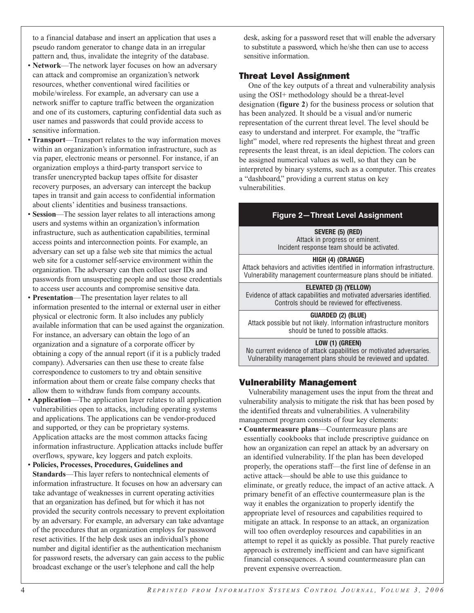to a financial database and insert an application that uses a pseudo random generator to change data in an irregular pattern and, thus, invalidate the integrity of the database.

- **Network**—The network layer focuses on how an adversary can attack and compromise an organization's network resources, whether conventional wired facilities or mobile/wireless. For example, an adversary can use a network sniffer to capture traffic between the organization and one of its customers, capturing confidential data such as user names and passwords that could provide access to sensitive information.
- **Transport**—Transport relates to the way information moves within an organization's information infrastructure, such as via paper, electronic means or personnel. For instance, if an organization employs a third-party transport service to transfer unencrypted backup tapes offsite for disaster recovery purposes, an adversary can intercept the backup tapes in transit and gain access to confidential information about clients' identities and business transactions.
- **Session**—The session layer relates to all interactions among users and systems within an organization's information infrastructure, such as authentication capabilities, terminal access points and interconnection points. For example, an adversary can set up a false web site that mimics the actual web site for a customer self-service environment within the organization. The adversary can then collect user IDs and passwords from unsuspecting people and use those credentials to access user accounts and compromise sensitive data.
- **Presentation**—The presentation layer relates to all information presented to the internal or external user in either physical or electronic form. It also includes any publicly available information that can be used against the organization. For instance, an adversary can obtain the logo of an organization and a signature of a corporate officer by obtaining a copy of the annual report (if it is a publicly traded company). Adversaries can then use these to create false correspondence to customers to try and obtain sensitive information about them or create false company checks that allow them to withdraw funds from company accounts.
- **Application**—The application layer relates to all application vulnerabilities open to attacks, including operating systems and applications. The applications can be vendor-produced and supported, or they can be proprietary systems. Application attacks are the most common attacks facing information infrastructure. Application attacks include buffer overflows, spyware, key loggers and patch exploits.
- **Policies, Processes, Procedures, Guidelines and Standards**—This layer refers to nontechnical elements of information infrastructure. It focuses on how an adversary can take advantage of weaknesses in current operating activities that an organization has defined, but for which it has not provided the security controls necessary to prevent exploitation by an adversary. For example, an adversary can take advantage of the procedures that an organization employs for password reset activities. If the help desk uses an individual's phone number and digital identifier as the authentication mechanism for password resets, the adversary can gain access to the public broadcast exchange or the user's telephone and call the help

desk, asking for a password reset that will enable the adversary to substitute a password, which he/she then can use to access sensitive information.

# Threat Level Assignment

One of the key outputs of a threat and vulnerability analysis using the OSI+ methodology should be a threat-level designation (**figure 2**) for the business process or solution that has been analyzed. It should be a visual and/or numeric representation of the current threat level. The level should be easy to understand and interpret. For example, the "traffic light" model, where red represents the highest threat and green represents the least threat, is an ideal depiction. The colors can be assigned numerical values as well, so that they can be interpreted by binary systems, such as a computer. This creates a "dashboard," providing a current status on key vulnerabilities.

## **Figure 2—Threat Level Assignment**

**SEVERE (5) (RED)**

Attack in progress or eminent. Incident response team should be activated.

#### **HIGH (4) (ORANGE)**

Attack behaviors and activities identified in information infrastructure. Vulnerability management countermeasure plans should be initiated.

#### **ELEVATED (3) (YELLOW)**

Evidence of attack capabilities and motivated adversaries identified. Controls should be reviewed for effectiveness.

#### **GUARDED (2) (BLUE)**

Attack possible but not likely. Information infrastructure monitors should be tuned to possible attacks.

#### **LOW (1) (GREEN)**

No current evidence of attack capabilities or motivated adversaries. Vulnerability management plans should be reviewed and updated.

## Vulnerability Management

Vulnerability management uses the input from the threat and vulnerability analysis to mitigate the risk that has been posed by the identified threats and vulnerabilities. A vulnerability management program consists of four key elements:

• **Countermeasure plans**—Countermeasure plans are essentially cookbooks that include prescriptive guidance on how an organization can repel an attack by an adversary on an identified vulnerability. If the plan has been developed properly, the operations staff—the first line of defense in an active attack—should be able to use this guidance to eliminate, or greatly reduce, the impact of an active attack. A primary benefit of an effective countermeasure plan is the way it enables the organization to properly identify the appropriate level of resources and capabilities required to mitigate an attack. In response to an attack, an organization will too often overdeploy resources and capabilities in an attempt to repel it as quickly as possible. That purely reactive approach is extremely inefficient and can have significant financial consequences. A sound countermeasure plan can prevent expensive overreaction.